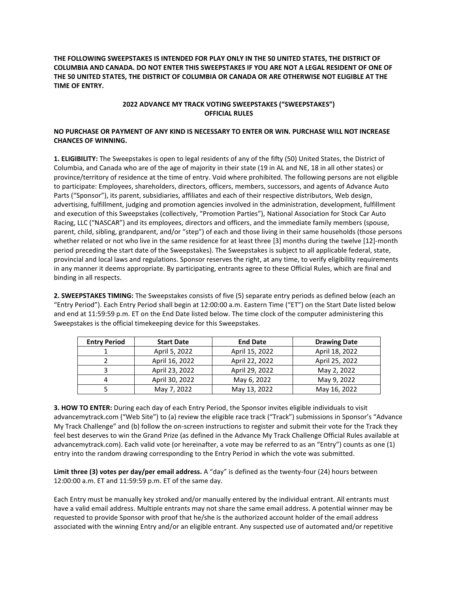**THE FOLLOWING SWEEPSTAKES IS INTENDED FOR PLAY ONLY IN THE 50 UNITED STATES, THE DISTRICT OF COLUMBIA AND CANADA. DO NOT ENTER THIS SWEEPSTAKES IF YOU ARE NOT A LEGAL RESIDENT OF ONE OF THE 50 UNITED STATES, THE DISTRICT OF COLUMBIA OR CANADA OR ARE OTHERWISE NOT ELIGIBLE AT THE TIME OF ENTRY.** 

## **2022 ADVANCE MY TRACK VOTING SWEEPSTAKES ("SWEEPSTAKES") OFFICIAL RULES**

## **NO PURCHASE OR PAYMENT OF ANY KIND IS NECESSARY TO ENTER OR WIN. PURCHASE WILL NOT INCREASE CHANCES OF WINNING.**

**1. ELIGIBILITY:** The Sweepstakes is open to legal residents of any of the fifty (50) United States, the District of Columbia, and Canada who are of the age of majority in their state (19 in AL and NE, 18 in all other states) or province/territory of residence at the time of entry. Void where prohibited. The following persons are not eligible to participate: Employees, shareholders, directors, officers, members, successors, and agents of Advance Auto Parts ("Sponsor"), its parent, subsidiaries, affiliates and each of their respective distributors, Web design, advertising, fulfillment, judging and promotion agencies involved in the administration, development, fulfillment and execution of this Sweepstakes (collectively, "Promotion Parties"), National Association for Stock Car Auto Racing, LLC ("NASCAR") and its employees, directors and officers, and the immediate family members (spouse, parent, child, sibling, grandparent, and/or "step") of each and those living in their same households (those persons whether related or not who live in the same residence for at least three [3] months during the twelve [12]-month period preceding the start date of the Sweepstakes). The Sweepstakes is subject to all applicable federal, state, provincial and local laws and regulations. Sponsor reserves the right, at any time, to verify eligibility requirements in any manner it deems appropriate. By participating, entrants agree to these Official Rules, which are final and binding in all respects.

**2. SWEEPSTAKES TIMING:** The Sweepstakes consists of five (5) separate entry periods as defined below (each an "Entry Period"). Each Entry Period shall begin at 12:00:00 a.m. Eastern Time ("ET") on the Start Date listed below and end at 11:59:59 p.m. ET on the End Date listed below. The time clock of the computer administering this Sweepstakes is the official timekeeping device for this Sweepstakes.

| <b>Entry Period</b> | <b>Start Date</b> | <b>End Date</b> | <b>Drawing Date</b> |
|---------------------|-------------------|-----------------|---------------------|
|                     | April 5, 2022     | April 15, 2022  | April 18, 2022      |
|                     | April 16, 2022    | April 22, 2022  | April 25, 2022      |
|                     | April 23, 2022    | April 29, 2022  | May 2, 2022         |
|                     | April 30, 2022    | May 6, 2022     | May 9, 2022         |
|                     | May 7, 2022       | May 13, 2022    | May 16, 2022        |

**3. HOW TO ENTER:** During each day of each Entry Period, the Sponsor invites eligible individuals to visit advancemytrack.com ("Web Site") to (a) review the eligible race track ("Track") submissions in Sponsor's "Advance My Track Challenge" and (b) follow the on-screen instructions to register and submit their vote for the Track they feel best deserves to win the Grand Prize (as defined in the Advance My Track Challenge Official Rules available at advancemytrack.com). Each valid vote (or hereinafter, a vote may be referred to as an "Entry") counts as one (1) entry into the random drawing corresponding to the Entry Period in which the vote was submitted.

**Limit three (3) votes per day/per email address.** A "day" is defined as the twenty-four (24) hours between 12:00:00 a.m. ET and 11:59:59 p.m. ET of the same day.

Each Entry must be manually key stroked and/or manually entered by the individual entrant. All entrants must have a valid email address. Multiple entrants may not share the same email address. A potential winner may be requested to provide Sponsor with proof that he/she is the authorized account holder of the email address associated with the winning Entry and/or an eligible entrant. Any suspected use of automated and/or repetitive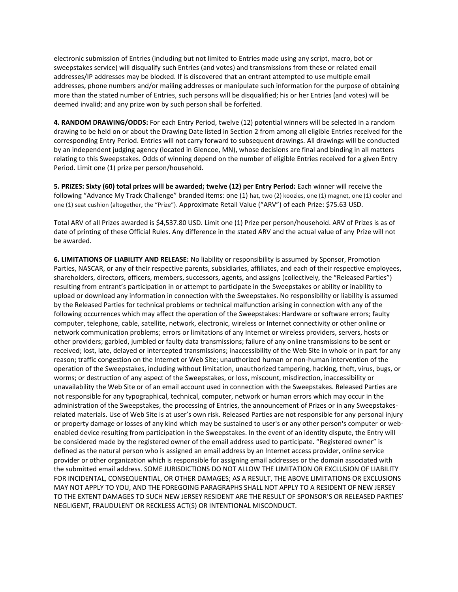electronic submission of Entries (including but not limited to Entries made using any script, macro, bot or sweepstakes service) will disqualify such Entries (and votes) and transmissions from these or related email addresses/IP addresses may be blocked. If is discovered that an entrant attempted to use multiple email addresses, phone numbers and/or mailing addresses or manipulate such information for the purpose of obtaining more than the stated number of Entries, such persons will be disqualified; his or her Entries (and votes) will be deemed invalid; and any prize won by such person shall be forfeited.

**4. RANDOM DRAWING/ODDS:** For each Entry Period, twelve (12) potential winners will be selected in a random drawing to be held on or about the Drawing Date listed in Section 2 from among all eligible Entries received for the corresponding Entry Period. Entries will not carry forward to subsequent drawings. All drawings will be conducted by an independent judging agency (located in Glencoe, MN), whose decisions are final and binding in all matters relating to this Sweepstakes. Odds of winning depend on the number of eligible Entries received for a given Entry Period. Limit one (1) prize per person/household.

**5. PRIZES: Sixty (60) total prizes will be awarded; twelve (12) per Entry Period:** Each winner will receive the following "Advance My Track Challenge" branded items: one (1) hat, two (2) koozies, one (1) magnet, one (1) cooler and one (1) seat cushion (altogether, the "Prize"). Approximate Retail Value ("ARV") of each Prize: \$75.63 USD.

Total ARV of all Prizes awarded is \$4,537.80 USD. Limit one (1) Prize per person/household. ARV of Prizes is as of date of printing of these Official Rules. Any difference in the stated ARV and the actual value of any Prize will not be awarded.

**6. LIMITATIONS OF LIABILITY AND RELEASE:** No liability or responsibility is assumed by Sponsor, Promotion Parties, NASCAR, or any of their respective parents, subsidiaries, affiliates, and each of their respective employees, shareholders, directors, officers, members, successors, agents, and assigns (collectively, the "Released Parties") resulting from entrant's participation in or attempt to participate in the Sweepstakes or ability or inability to upload or download any information in connection with the Sweepstakes. No responsibility or liability is assumed by the Released Parties for technical problems or technical malfunction arising in connection with any of the following occurrences which may affect the operation of the Sweepstakes: Hardware or software errors; faulty computer, telephone, cable, satellite, network, electronic, wireless or Internet connectivity or other online or network communication problems; errors or limitations of any Internet or wireless providers, servers, hosts or other providers; garbled, jumbled or faulty data transmissions; failure of any online transmissions to be sent or received; lost, late, delayed or intercepted transmissions; inaccessibility of the Web Site in whole or in part for any reason; traffic congestion on the Internet or Web Site; unauthorized human or non-human intervention of the operation of the Sweepstakes, including without limitation, unauthorized tampering, hacking, theft, virus, bugs, or worms; or destruction of any aspect of the Sweepstakes, or loss, miscount, misdirection, inaccessibility or unavailability the Web Site or of an email account used in connection with the Sweepstakes. Released Parties are not responsible for any typographical, technical, computer, network or human errors which may occur in the administration of the Sweepstakes, the processing of Entries, the announcement of Prizes or in any Sweepstakesrelated materials. Use of Web Site is at user's own risk. Released Parties are not responsible for any personal injury or property damage or losses of any kind which may be sustained to user's or any other person's computer or webenabled device resulting from participation in the Sweepstakes. In the event of an identity dispute, the Entry will be considered made by the registered owner of the email address used to participate. "Registered owner" is defined as the natural person who is assigned an email address by an Internet access provider, online service provider or other organization which is responsible for assigning email addresses or the domain associated with the submitted email address. SOME JURISDICTIONS DO NOT ALLOW THE LIMITATION OR EXCLUSION OF LIABILITY FOR INCIDENTAL, CONSEQUENTIAL, OR OTHER DAMAGES; AS A RESULT, THE ABOVE LIMITATIONS OR EXCLUSIONS MAY NOT APPLY TO YOU, AND THE FOREGOING PARAGRAPHS SHALL NOT APPLY TO A RESIDENT OF NEW JERSEY TO THE EXTENT DAMAGES TO SUCH NEW JERSEY RESIDENT ARE THE RESULT OF SPONSOR'S OR RELEASED PARTIES' NEGLIGENT, FRAUDULENT OR RECKLESS ACT(S) OR INTENTIONAL MISCONDUCT.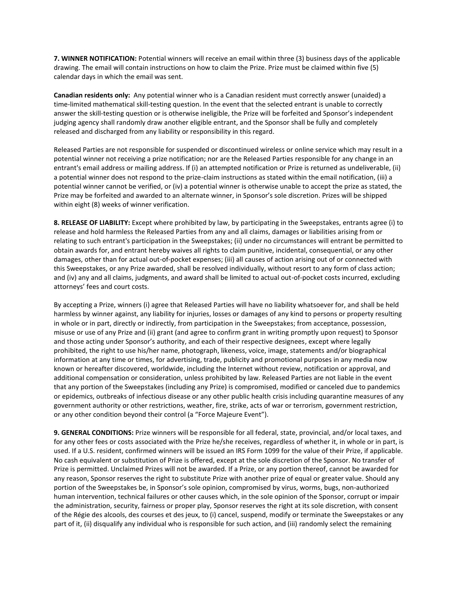**7. WINNER NOTIFICATION:** Potential winners will receive an email within three (3) business days of the applicable drawing. The email will contain instructions on how to claim the Prize. Prize must be claimed within five (5) calendar days in which the email was sent.

**Canadian residents only:** Any potential winner who is a Canadian resident must correctly answer (unaided) a time-limited mathematical skill-testing question. In the event that the selected entrant is unable to correctly answer the skill-testing question or is otherwise ineligible, the Prize will be forfeited and Sponsor's independent judging agency shall randomly draw another eligible entrant, and the Sponsor shall be fully and completely released and discharged from any liability or responsibility in this regard.

Released Parties are not responsible for suspended or discontinued wireless or online service which may result in a potential winner not receiving a prize notification; nor are the Released Parties responsible for any change in an entrant's email address or mailing address. If (i) an attempted notification or Prize is returned as undeliverable, (ii) a potential winner does not respond to the prize-claim instructions as stated within the email notification, (iii) a potential winner cannot be verified, or (iv) a potential winner is otherwise unable to accept the prize as stated, the Prize may be forfeited and awarded to an alternate winner, in Sponsor's sole discretion. Prizes will be shipped within eight (8) weeks of winner verification.

**8. RELEASE OF LIABILITY:** Except where prohibited by law, by participating in the Sweepstakes, entrants agree (i) to release and hold harmless the Released Parties from any and all claims, damages or liabilities arising from or relating to such entrant's participation in the Sweepstakes; (ii) under no circumstances will entrant be permitted to obtain awards for, and entrant hereby waives all rights to claim punitive, incidental, consequential, or any other damages, other than for actual out-of-pocket expenses; (iii) all causes of action arising out of or connected with this Sweepstakes, or any Prize awarded, shall be resolved individually, without resort to any form of class action; and (iv) any and all claims, judgments, and award shall be limited to actual out-of-pocket costs incurred, excluding attorneys' fees and court costs.

By accepting a Prize, winners (i) agree that Released Parties will have no liability whatsoever for, and shall be held harmless by winner against, any liability for injuries, losses or damages of any kind to persons or property resulting in whole or in part, directly or indirectly, from participation in the Sweepstakes; from acceptance, possession, misuse or use of any Prize and (ii) grant (and agree to confirm grant in writing promptly upon request) to Sponsor and those acting under Sponsor's authority, and each of their respective designees, except where legally prohibited, the right to use his/her name, photograph, likeness, voice, image, statements and/or biographical information at any time or times, for advertising, trade, publicity and promotional purposes in any media now known or hereafter discovered, worldwide, including the Internet without review, notification or approval, and additional compensation or consideration, unless prohibited by law. Released Parties are not liable in the event that any portion of the Sweepstakes (including any Prize) is compromised, modified or canceled due to pandemics or epidemics, outbreaks of infectious disease or any other public health crisis including quarantine measures of any government authority or other restrictions, weather, fire, strike, acts of war or terrorism, government restriction, or any other condition beyond their control (a "Force Majeure Event").

**9. GENERAL CONDITIONS:** Prize winners will be responsible for all federal, state, provincial, and/or local taxes, and for any other fees or costs associated with the Prize he/she receives, regardless of whether it, in whole or in part, is used. If a U.S. resident, confirmed winners will be issued an IRS Form 1099 for the value of their Prize, if applicable. No cash equivalent or substitution of Prize is offered, except at the sole discretion of the Sponsor. No transfer of Prize is permitted. Unclaimed Prizes will not be awarded. If a Prize, or any portion thereof, cannot be awarded for any reason, Sponsor reserves the right to substitute Prize with another prize of equal or greater value. Should any portion of the Sweepstakes be, in Sponsor's sole opinion, compromised by virus, worms, bugs, non-authorized human intervention, technical failures or other causes which, in the sole opinion of the Sponsor, corrupt or impair the administration, security, fairness or proper play, Sponsor reserves the right at its sole discretion, with consent of the Régie des alcools, des courses et des jeux, to (i) cancel, suspend, modify or terminate the Sweepstakes or any part of it, (ii) disqualify any individual who is responsible for such action, and (iii) randomly select the remaining